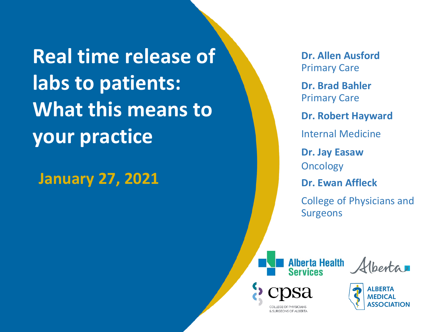**Real time release of labs to patients: What this means to your practice**

**January 27, 2021**

**Dr. Allen Ausford** Primary Care

**Dr. Brad Bahler** Primary Care

**Dr. Robert Hayward**

Internal Medicine

**Dr. Jay Easaw Oncology** 

**Dr. Ewan Affleck**

College of Physicians and Surgeons



& SLIRGEONS OF ALBERTA

Venta

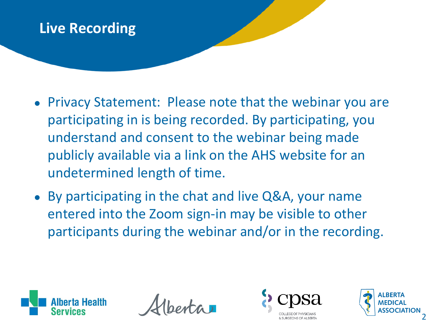### **Live Recording**

- Privacy Statement: Please note that the webinar you are participating in is being recorded. By participating, you understand and consent to the webinar being made publicly available via a link on the AHS website for an undetermined length of time.
- By participating in the chat and live Q&A, your name entered into the Zoom sign-in may be visible to other participants during the webinar and/or in the recording.





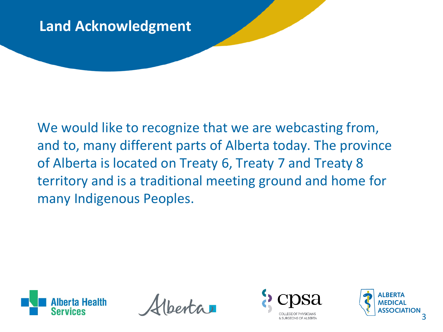### **Land Acknowledgment**

We would like to recognize that we are webcasting from, and to, many different parts of Alberta today. The province of Alberta is located on Treaty 6, Treaty 7 and Treaty 8 territory and is a traditional meeting ground and home for many Indigenous Peoples.



 $int_a$ 



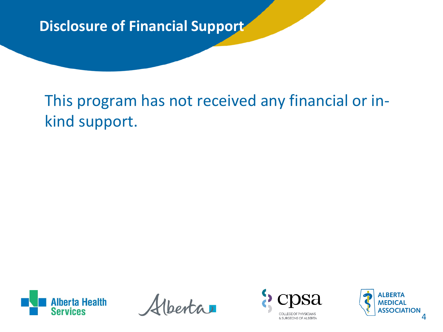**Disclosure of Financial Support**

This program has not received any financial or inkind support.



 $ext{a}$ 



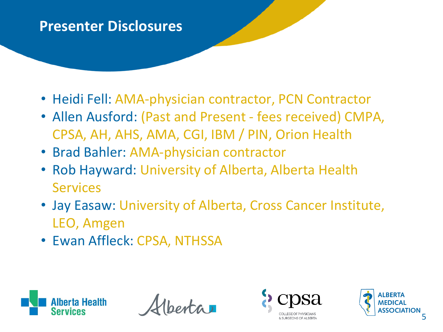#### **Presenter Disclosures**

- Heidi Fell: AMA-physician contractor, PCN Contractor
- Allen Ausford: (Past and Present fees received) CMPA, CPSA, AH, AHS, AMA, CGI, IBM / PIN, Orion Health
- Brad Bahler: AMA-physician contractor
- Rob Hayward: University of Alberta, Alberta Health **Services**
- Jay Easaw: University of Alberta, Cross Cancer Institute, LEO, Amgen
- Ewan Affleck: CPSA, NTHSSA





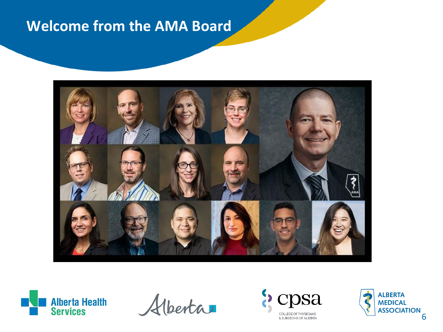### **Welcome from the AMA Board**





Alberta



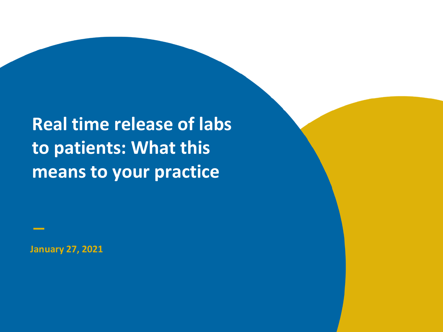**Real time release of labs to patients: What this means to your practice**

**January 27, 2021**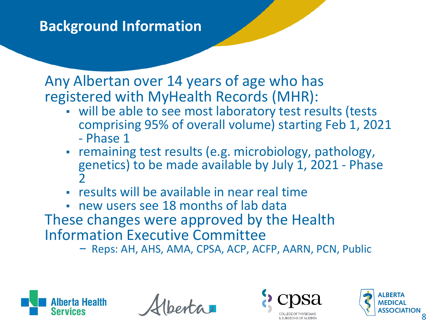### **Background Information**

Any Albertan over 14 years of age who has registered with MyHealth Records (MHR):

- will be able to see most laboratory test results (tests comprising 95% of overall volume) starting Feb 1, 2021 - Phase 1
- remaining test results (e.g. microbiology, pathology, genetics) to be made available by July 1, 2021 - Phase 2
- results will be available in near real time
- new users see 18 months of lab data
- These changes were approved by the Health Information Executive Committee – Reps: AH, AHS, AMA, CPSA, ACP, ACFP, AARN, PCN, Public
	-





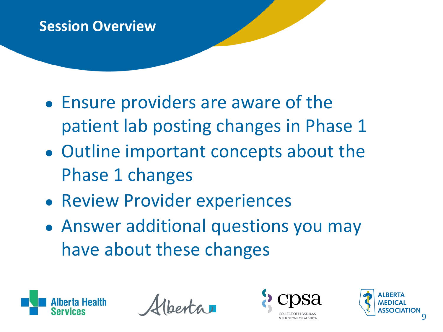### **Session Overview**

- Ensure providers are aware of the patient lab posting changes in Phase 1
- Outline important concepts about the Phase 1 changes
- Review Provider experiences
- Answer additional questions you may have about these changes





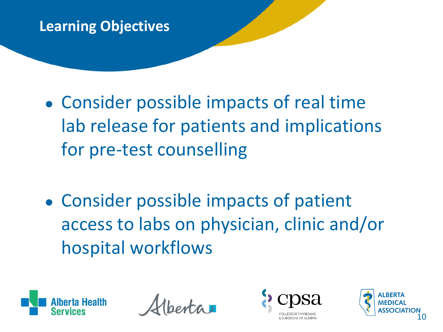### **Learning Objectives**

- Consider possible impacts of real time lab release for patients and implications for pre-test counselling
- Consider possible impacts of patient access to labs on physician, clinic and/or hospital workflows





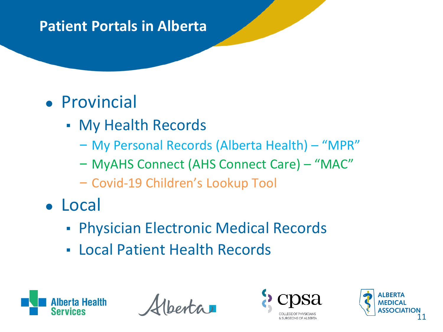### **Patient Portals in Alberta**

# ● Provincial

- My Health Records
	- My Personal Records (Alberta Health) "MPR"
	- MyAHS Connect (AHS Connect Care) "MAC"
	- Covid-19 Children's Lookup Tool
- Local
	- **Physician Electronic Medical Records**
	- Local Patient Health Records



 $\partial x$ 



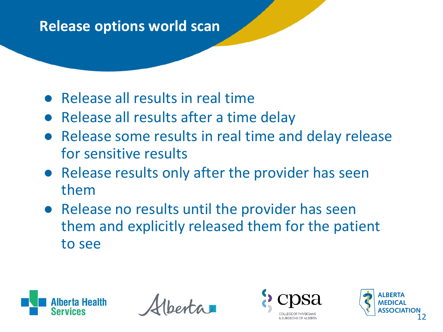### **Release options world scan**

- Release all results in real time
- Release all results after a time delay
- Release some results in real time and delay release for sensitive results
- Release results only after the provider has seen them
- Release no results until the provider has seen them and explicitly released them for the patient to see





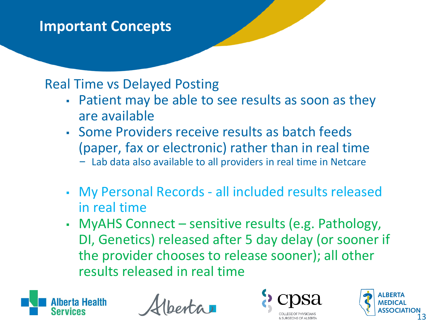#### Real Time vs Delayed Posting

- Patient may be able to see results as soon as they are available
- Some Providers receive results as batch feeds (paper, fax or electronic) rather than in real time
	- Lab data also available to all providers in real time in Netcare
- My Personal Records all included results released in real time
- MyAHS Connect sensitive results (e.g. Pathology, DI, Genetics) released after 5 day delay (or sooner if the provider chooses to release sooner); all other results released in real time





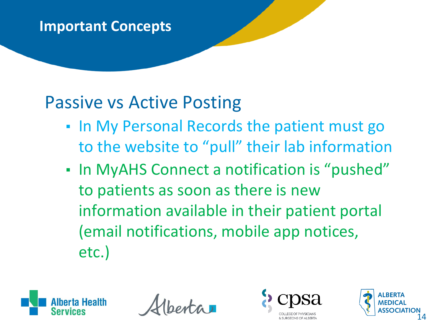## Passive vs Active Posting

- **. In My Personal Records the patient must go** to the website to "pull" their lab information
- In MyAHS Connect a notification is "pushed" to patients as soon as there is new information available in their patient portal (email notifications, mobile app notices, etc.)





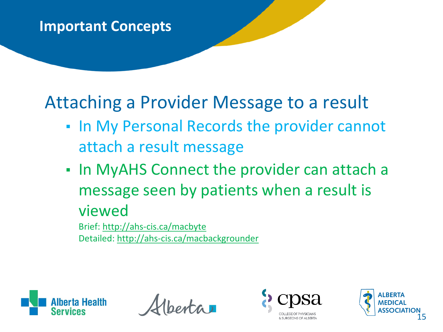# Attaching a Provider Message to a result

- **. In My Personal Records the provider cannot** attach a result message
- **.** In MyAHS Connect the provider can attach a message seen by patients when a result is viewed

Brief:<http://ahs-cis.ca/macbyte> Detailed: <http://ahs-cis.ca/macbackgrounder>





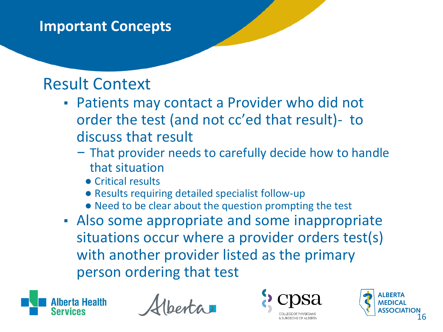## Result Context

- **Patients may contact a Provider who did not** order the test (and not cc'ed that result)- to discuss that result
	- That provider needs to carefully decide how to handle that situation
		- Critical results
		- Results requiring detailed specialist follow-up
		- Need to be clear about the question prompting the test
- Also some appropriate and some inappropriate situations occur where a provider orders test(s) with another provider listed as the primary person ordering that test





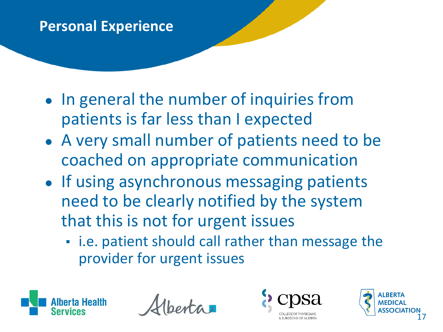### **Personal Experience**

- In general the number of inquiries from patients is far less than I expected
- A very small number of patients need to be coached on appropriate communication
- If using asynchronous messaging patients need to be clearly notified by the system that this is not for urgent issues
	- **.** i.e. patient should call rather than message the provider for urgent issues





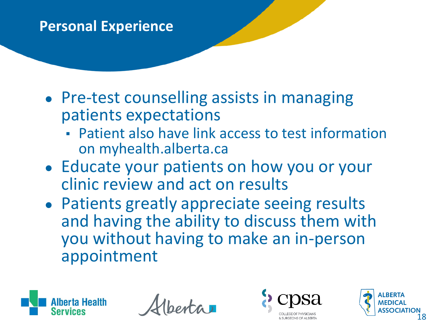### **Personal Experience**

- Pre-test counselling assists in managing patients expectations
	- **Patient also have link access to test information** on myhealth.alberta.ca
- Educate your patients on how you or your clinic review and act on results
- Patients greatly appreciate seeing results and having the ability to discuss them with you without having to make an in-person appointment





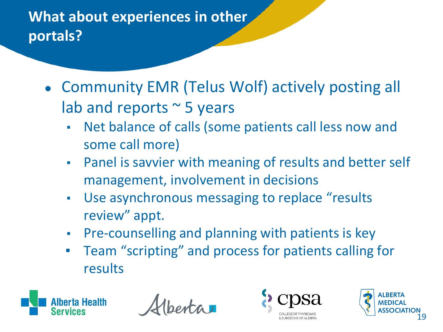## **What about experiences in other portals?**

- Community EMR (Telus Wolf) actively posting all lab and reports  $\sim$  5 years
	- Net balance of calls (some patients call less now and some call more)
	- **Panel is savvier with meaning of results and better self** management, involvement in decisions
	- Use asynchronous messaging to replace "results review" appt.
	- **Pre-counselling and planning with patients is key**
	- Team "scripting" and process for patients calling for results





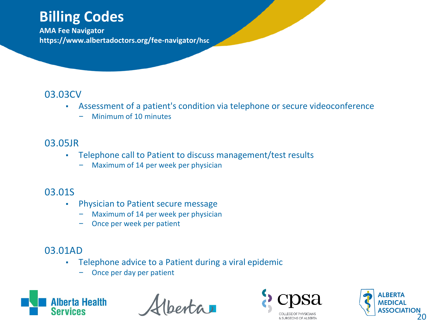### **Billing Codes**

**AMA Fee Navigator https://www.albertadoctors.org/fee-navigator/hsc**

#### 03.03CV

- Assessment of a patient's condition via telephone or secure videoconference
	- Minimum of 10 minutes

#### 03.05JR

- Telephone call to Patient to discuss management/test results
	- Maximum of 14 per week per physician

#### 03.01S

- **Physician to Patient secure message** 
	- Maximum of 14 per week per physician
	- Once per week per patient

#### 03.01AD

- Telephone advice to a Patient during a viral epidemic
	- Once per day per patient



 $ext{a}$ 



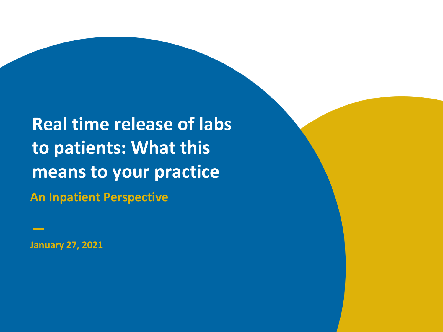**An Inpatient Perspective Real time release of labs to patients: What this means to your practice**

**January 27, 2021**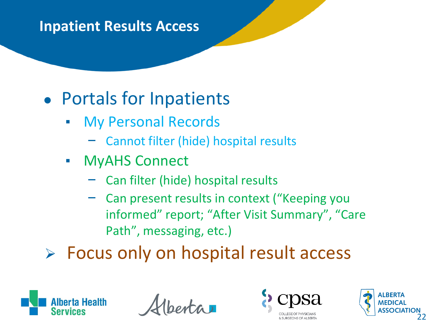# ● Portals for Inpatients

- My Personal Records
	- Cannot filter (hide) hospital results
- MyAHS Connect
	- Can filter (hide) hospital results
	- Can present results in context ("Keeping you informed" report; "After Visit Summary", "Care Path", messaging, etc.)
- $\triangleright$  Focus only on hospital result access





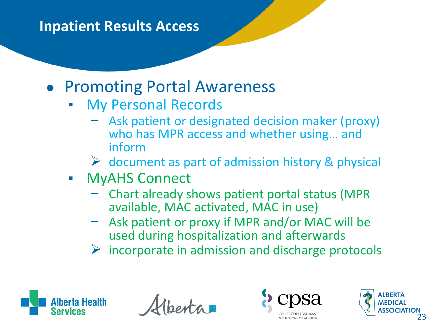## ● Promoting Portal Awareness

- My Personal Records
	- Ask patient or designated decision maker (proxy) who has MPR access and whether using… and inform
	- $\triangleright$  document as part of admission history & physical
- MyAHS Connect
	- Chart already shows patient portal status (MPR available, MAC activated, MAC in use)
	- Ask patient or proxy if MPR and/or MAC will be used during hospitalization and afterwards
	- $\triangleright$  incorporate in admission and discharge protocols





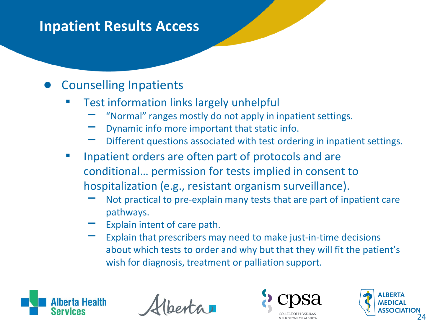#### **Counselling Inpatients**

- **Test information links largely unhelpful** 
	- "Normal" ranges mostly do not apply in inpatient settings.
	- Dynamic info more important that static info.
	- Different questions associated with test ordering in inpatient settings.
- Inpatient orders are often part of protocols and are conditional… permission for tests implied in consent to hospitalization (e.g., resistant organism surveillance).
	- Not practical to pre-explain many tests that are part of inpatient care pathways.
	- Explain intent of care path.
	- Explain that prescribers may need to make just-in-time decisions about which tests to order and why but that they will fit the patient's wish for diagnosis, treatment or palliation support.





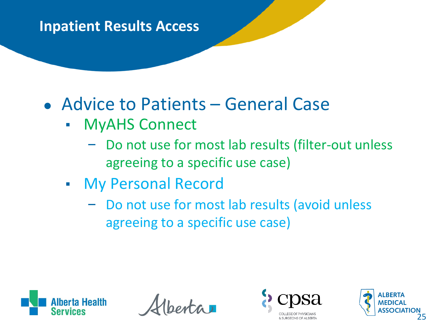# • Advice to Patients – General Case

- MyAHS Connect
	- Do not use for most lab results (filter-out unless agreeing to a specific use case)
- My Personal Record
	- Do not use for most lab results (avoid unless agreeing to a specific use case)





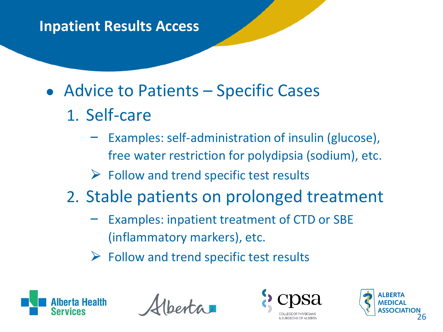- Advice to Patients Specific Cases
	- 1. Self-care
		- Examples: self-administration of insulin (glucose), free water restriction for polydipsia (sodium), etc.
		- $\triangleright$  Follow and trend specific test results
	- 2. Stable patients on prolonged treatment
		- Examples: inpatient treatment of CTD or SBE (inflammatory markers), etc.
		- $\triangleright$  Follow and trend specific test results





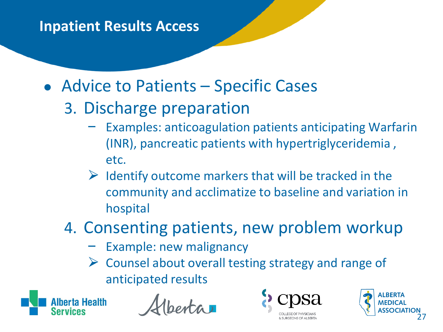- Advice to Patients Specific Cases
	- 3. Discharge preparation
		- Examples: anticoagulation patients anticipating Warfarin (INR), pancreatic patients with hypertriglyceridemia , etc.
		- $\triangleright$  Identify outcome markers that will be tracked in the community and acclimatize to baseline and variation in hospital
	- 4. Consenting patients, new problem workup
		- Example: new malignancy
		- $\triangleright$  Counsel about overall testing strategy and range of anticipated results





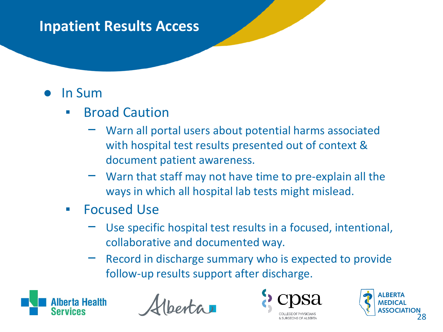### ● In Sum

- **Example 2 Broad Caution** 
	- Warn all portal users about potential harms associated with hospital test results presented out of context & document patient awareness.
	- Warn that staff may not have time to pre-explain all the ways in which all hospital lab tests might mislead.
- **Focused Use** 
	- Use specific hospital test results in a focused, intentional, collaborative and documented way.
	- Record in discharge summary who is expected to provide follow-up results support after discharge.





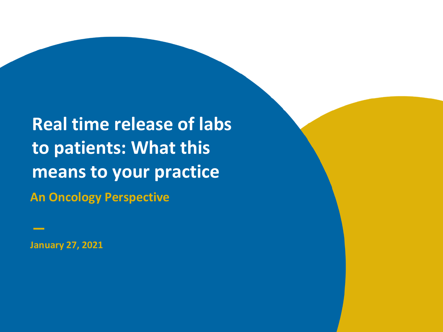**An Oncology Perspective Real time release of labs to patients: What this means to your practice**

**January 27, 2021**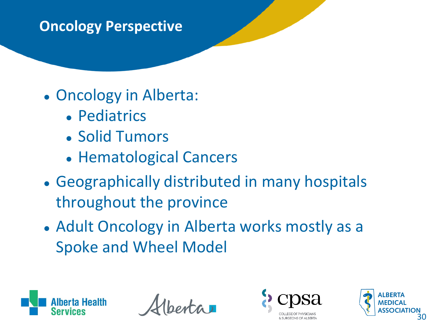### **Oncology Perspective**

## • Oncology in Alberta:

- Pediatrics
- Solid Tumors
- Hematological Cancers
- Geographically distributed in many hospitals throughout the province
- Adult Oncology in Alberta works mostly as a Spoke and Wheel Model





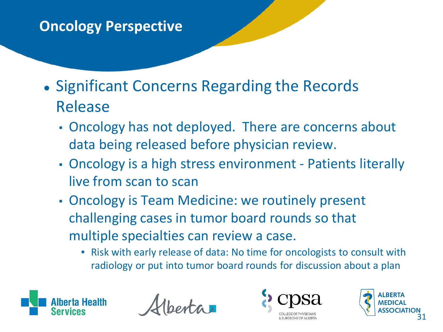### **Oncology Perspective**

- Significant Concerns Regarding the Records Release
	- Oncology has not deployed. There are concerns about data being released before physician review.
	- Oncology is a high stress environment Patients literally live from scan to scan
	- **Oncology is Team Medicine: we routinely present** challenging cases in tumor board rounds so that multiple specialties can review a case.
		- Risk with early release of data: No time for oncologists to consult with radiology or put into tumor board rounds for discussion about a plan





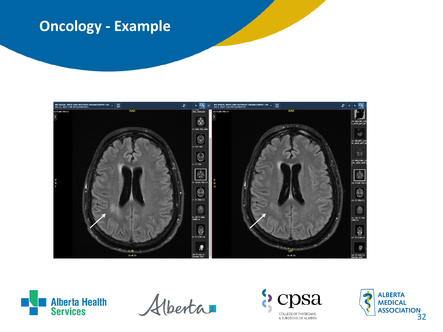### **Oncology - Example**





Alberta



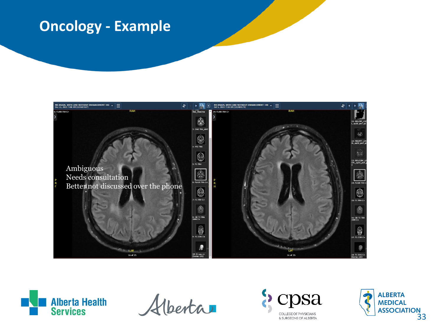### **Oncology - Example**





Alberta

)Sa **COLLEGE OF PHYSICIANS** & SURGEONS OF ALBERTA

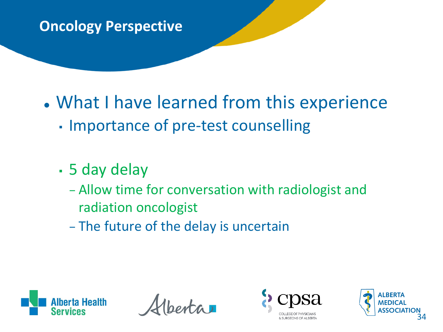### **Oncology Perspective**

# • What I have learned from this experience

- Importance of pre-test counselling
- 5 day delay
	- Allow time for conversation with radiologist and radiation oncologist
	- The future of the delay is uncertain





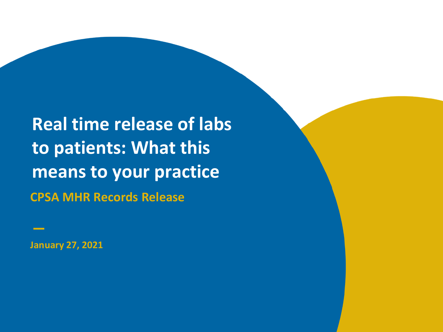**CPSA MHR Records Release Real time release of labs to patients: What this means to your practice**

**January 27, 2021**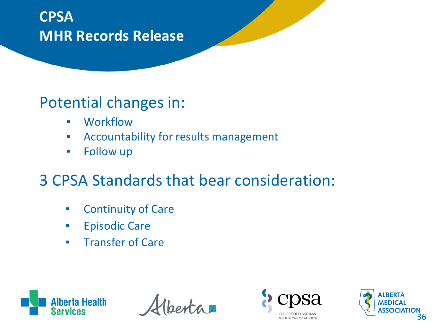## **CPSA MHR Records Release**

## Potential changes in:

- Workflow
- **EXEDENT Accountability for results management**
- Follow up

## 3 CPSA Standards that bear consideration:

- Continuity of Care
- **Episodic Care**
- **EXECUTE: Transfer of Care**



 $ext{a}$ 



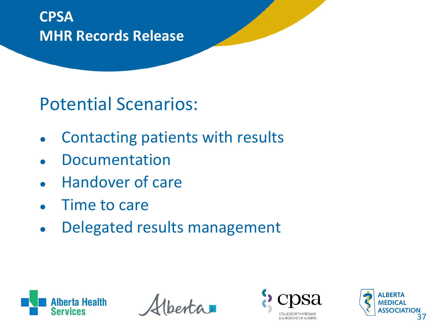## **CPSA MHR Records Release**

# Potential Scenarios:

- Contacting patients with results
- **Documentation**
- **Handover of care**
- Time to care
- Delegated results management





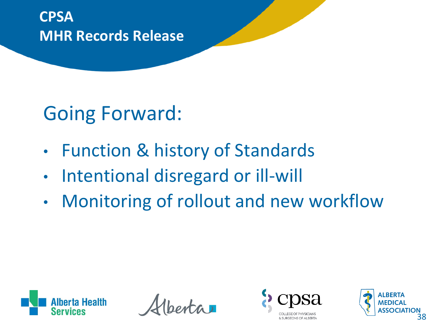**CPSA MHR Records Release**

# Going Forward:

- Function & history of Standards
- Intentional disregard or ill-will
- Monitoring of rollout and new workflow





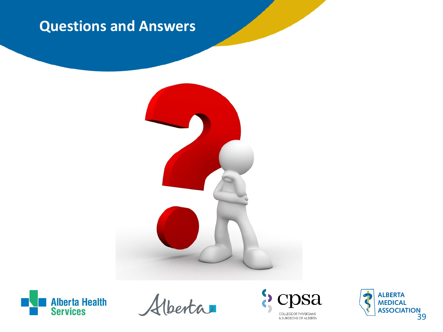### **Questions and Answers**





Hberta